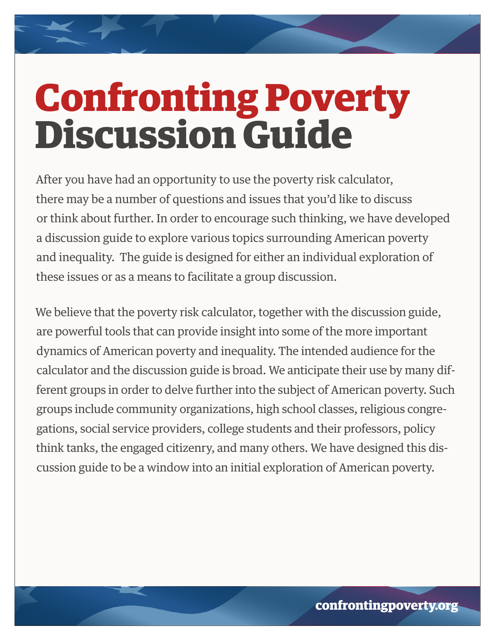# **Confronting Poverty Discussion Guide**

After you have had an opportunity to use the poverty risk calculator, there may be a number of questions and issues that you'd like to discuss or think about further. In order to encourage such thinking, we have developed a discussion guide to explore various topics surrounding American poverty and inequality. The guide is designed for either an individual exploration of these issues or as a means to facilitate a group discussion.

We believe that the poverty risk calculator, together with the discussion guide, are powerful tools that can provide insight into some of the more important dynamics of American poverty and inequality. The intended audience for the calculator and the discussion guide is broad. We anticipate their use by many different groups in order to delve further into the subject of American poverty. Such groups include community organizations, high school classes, religious congregations, social service providers, college students and their professors, policy think tanks, the engaged citizenry, and many others. We have designed this discussion guide to be a window into an initial exploration of American poverty.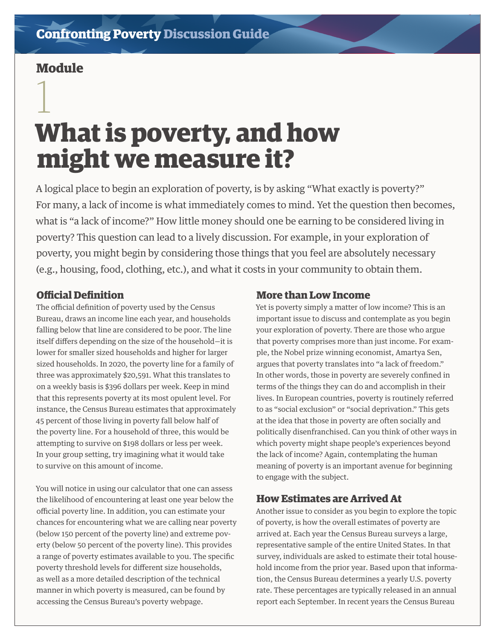# **What is poverty, and how might we measure it?** 1

A logical place to begin an exploration of poverty, is by asking "What exactly is poverty?" For many, a lack of income is what immediately comes to mind. Yet the question then becomes, what is "a lack of income?" How little money should one be earning to be considered living in poverty? This question can lead to a lively discussion. For example, in your exploration of poverty, you might begin by considering those things that you feel are absolutely necessary (e.g., housing, food, clothing, etc.), and what it costs in your community to obtain them.

#### **Official Definition**

The official definition of poverty used by the Census Bureau, draws an income line each year, and households falling below that line are considered to be poor. The line itself differs depending on the size of the household—it is lower for smaller sized households and higher for larger sized households. In 2020, the poverty line for a family of three was approximately \$20,591. What this translates to on a weekly basis is \$396 dollars per week. Keep in mind that this represents poverty at its most opulent level. For instance, the Census Bureau estimates that approximately 45 percent of those living in poverty fall below half of the poverty line. For a household of three, this would be attempting to survive on \$198 dollars or less per week. In your group setting, try imagining what it would take to survive on this amount of income.

You will notice in using our calculator that one can assess the likelihood of encountering at least one year below the official poverty line. In addition, you can estimate your chances for encountering what we are calling near poverty (below 150 percent of the poverty line) and extreme poverty (below 50 percent of the poverty line). This provides a range of poverty estimates available to you. The specific poverty threshold levels for different size households, as well as a more detailed description of the technical manner in which poverty is measured, can be found by accessing the Census Bureau's poverty webpage.

#### **More than Low Income**

Yet is poverty simply a matter of low income? This is an important issue to discuss and contemplate as you begin your exploration of poverty. There are those who argue that poverty comprises more than just income. For example, the Nobel prize winning economist, Amartya Sen, argues that poverty translates into "a lack of freedom." In other words, those in poverty are severely confined in terms of the things they can do and accomplish in their lives. In European countries, poverty is routinely referred to as "social exclusion" or "social deprivation." This gets at the idea that those in poverty are often socially and politically disenfranchised. Can you think of other ways in which poverty might shape people's experiences beyond the lack of income? Again, contemplating the human meaning of poverty is an important avenue for beginning to engage with the subject.

### **How Estimates are Arrived At**

Another issue to consider as you begin to explore the topic of poverty, is how the overall estimates of poverty are arrived at. Each year the Census Bureau surveys a large, representative sample of the entire United States. In that survey, individuals are asked to estimate their total household income from the prior year. Based upon that information, the Census Bureau determines a yearly U.S. poverty rate. These percentages are typically released in an annual report each September. In recent years the Census Bureau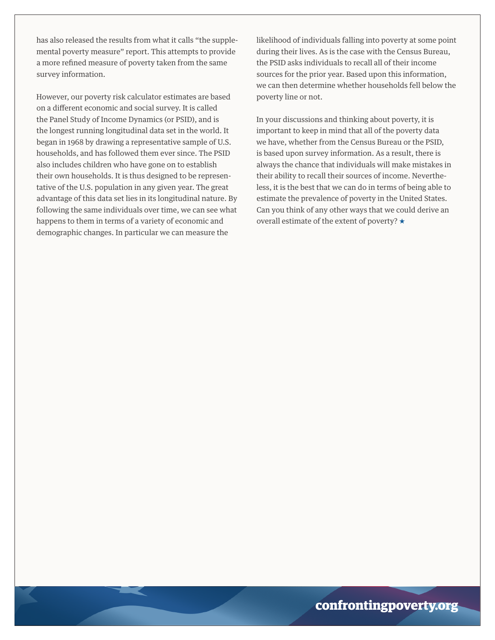has also released the results from what it calls "the supplemental poverty measure" report. This attempts to provide a more refined measure of poverty taken from the same survey information.

However, our poverty risk calculator estimates are based on a different economic and social survey. It is called the Panel Study of Income Dynamics (or PSID), and is the longest running longitudinal data set in the world. It began in 1968 by drawing a representative sample of U.S. households, and has followed them ever since. The PSID also includes children who have gone on to establish their own households. It is thus designed to be representative of the U.S. population in any given year. The great advantage of this data set lies in its longitudinal nature. By following the same individuals over time, we can see what happens to them in terms of a variety of economic and demographic changes. In particular we can measure the

likelihood of individuals falling into poverty at some point during their lives. As is the case with the Census Bureau, the PSID asks individuals to recall all of their income sources for the prior year. Based upon this information, we can then determine whether households fell below the poverty line or not.

In your discussions and thinking about poverty, it is important to keep in mind that all of the poverty data we have, whether from the Census Bureau or the PSID, is based upon survey information. As a result, there is always the chance that individuals will make mistakes in their ability to recall their sources of income. Nevertheless, it is the best that we can do in terms of being able to estimate the prevalence of poverty in the United States. Can you think of any other ways that we could derive an overall estimate of the extent of poverty? ★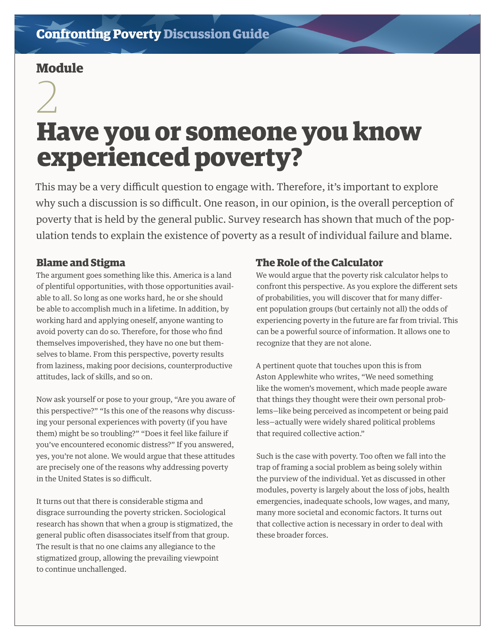# **Have you or someone you know experienced poverty?** 2

This may be a very difficult question to engage with. Therefore, it's important to explore why such a discussion is so difficult. One reason, in our opinion, is the overall perception of poverty that is held by the general public. Survey research has shown that much of the population tends to explain the existence of poverty as a result of individual failure and blame.

#### **Blame and Stigma**

The argument goes something like this. America is a land of plentiful opportunities, with those opportunities available to all. So long as one works hard, he or she should be able to accomplish much in a lifetime. In addition, by working hard and applying oneself, anyone wanting to avoid poverty can do so. Therefore, for those who find themselves impoverished, they have no one but themselves to blame. From this perspective, poverty results from laziness, making poor decisions, counterproductive attitudes, lack of skills, and so on.

Now ask yourself or pose to your group, "Are you aware of this perspective?" "Is this one of the reasons why discussing your personal experiences with poverty (if you have them) might be so troubling?" "Does it feel like failure if you've encountered economic distress?" If you answered, yes, you're not alone. We would argue that these attitudes are precisely one of the reasons why addressing poverty in the United States is so difficult.

It turns out that there is considerable stigma and disgrace surrounding the poverty stricken. Sociological research has shown that when a group is stigmatized, the general public often disassociates itself from that group. The result is that no one claims any allegiance to the stigmatized group, allowing the prevailing viewpoint to continue unchallenged.

#### **The Role of the Calculator**

We would argue that the poverty risk calculator helps to confront this perspective. As you explore the different sets of probabilities, you will discover that for many different population groups (but certainly not all) the odds of experiencing poverty in the future are far from trivial. This can be a powerful source of information. It allows one to recognize that they are not alone.

A pertinent quote that touches upon this is from Aston Applewhite who writes, "We need something like the women's movement, which made people aware that things they thought were their own personal problems—like being perceived as incompetent or being paid less—actually were widely shared political problems that required collective action."

Such is the case with poverty. Too often we fall into the trap of framing a social problem as being solely within the purview of the individual. Yet as discussed in other modules, poverty is largely about the loss of jobs, health emergencies, inadequate schools, low wages, and many, many more societal and economic factors. It turns out that collective action is necessary in order to deal with these broader forces.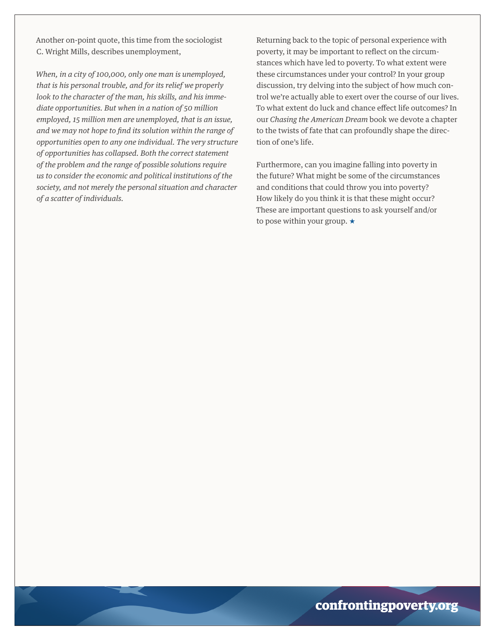Another on-point quote, this time from the sociologist C. Wright Mills, describes unemployment,

*When, in a city of 100,000, only one man is unemployed, that is his personal trouble, and for its relief we properly look to the character of the man, his skills, and his immediate opportunities. But when in a nation of 50 million employed, 15 million men are unemployed, that is an issue, and we may not hope to find its solution within the range of opportunities open to any one individual. The very structure of opportunities has collapsed. Both the correct statement of the problem and the range of possible solutions require us to consider the economic and political institutions of the society, and not merely the personal situation and character of a scatter of individuals.*

Returning back to the topic of personal experience with poverty, it may be important to reflect on the circumstances which have led to poverty. To what extent were these circumstances under your control? In your group discussion, try delving into the subject of how much control we're actually able to exert over the course of our lives. To what extent do luck and chance effect life outcomes? In our *Chasing the American Dream* book we devote a chapter to the twists of fate that can profoundly shape the direction of one's life.

Furthermore, can you imagine falling into poverty in the future? What might be some of the circumstances and conditions that could throw you into poverty? How likely do you think it is that these might occur? These are important questions to ask yourself and/or to pose within your group. ★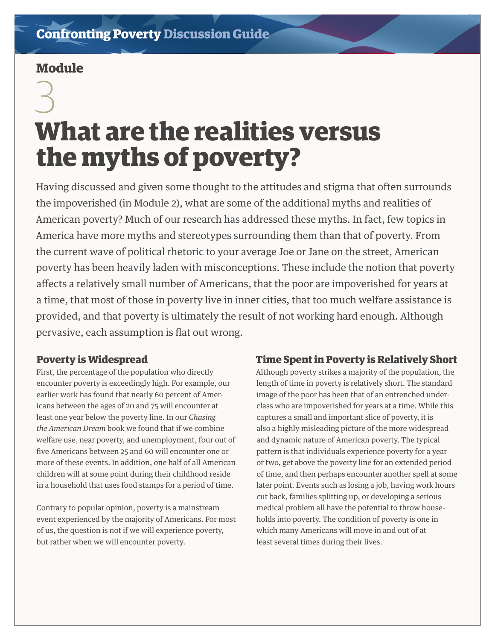# **What are the realities versus the myths of poverty?** 3

Having discussed and given some thought to the attitudes and stigma that often surrounds the impoverished (in Module 2), what are some of the additional myths and realities of American poverty? Much of our research has addressed these myths. In fact, few topics in America have more myths and stereotypes surrounding them than that of poverty. From the current wave of political rhetoric to your average Joe or Jane on the street, American poverty has been heavily laden with misconceptions. These include the notion that poverty affects a relatively small number of Americans, that the poor are impoverished for years at a time, that most of those in poverty live in inner cities, that too much welfare assistance is provided, and that poverty is ultimately the result of not working hard enough. Although pervasive, each assumption is flat out wrong.

#### **Poverty is Widespread**

First, the percentage of the population who directly encounter poverty is exceedingly high. For example, our earlier work has found that nearly 60 percent of Americans between the ages of 20 and 75 will encounter at least one year below the poverty line. In our *Chasing the American Dream* book we found that if we combine welfare use, near poverty, and unemployment, four out of five Americans between 25 and 60 will encounter one or more of these events. In addition, one half of all American children will at some point during their childhood reside in a household that uses food stamps for a period of time.

Contrary to popular opinion, poverty is a mainstream event experienced by the majority of Americans. For most of us, the question is not if we will experience poverty, but rather when we will encounter poverty.

#### **Time Spent in Poverty is Relatively Short**

Although poverty strikes a majority of the population, the length of time in poverty is relatively short. The standard image of the poor has been that of an entrenched underclass who are impoverished for years at a time. While this captures a small and important slice of poverty, it is also a highly misleading picture of the more widespread and dynamic nature of American poverty. The typical pattern is that individuals experience poverty for a year or two, get above the poverty line for an extended period of time, and then perhaps encounter another spell at some later point. Events such as losing a job, having work hours cut back, families splitting up, or developing a serious medical problem all have the potential to throw households into poverty. The condition of poverty is one in which many Americans will move in and out of at least several times during their lives.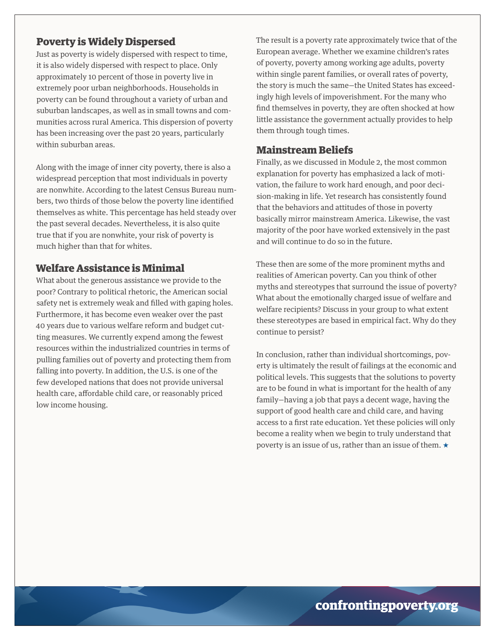#### **Poverty is Widely Dispersed**

Just as poverty is widely dispersed with respect to time, it is also widely dispersed with respect to place. Only approximately 10 percent of those in poverty live in extremely poor urban neighborhoods. Households in poverty can be found throughout a variety of urban and suburban landscapes, as well as in small towns and communities across rural America. This dispersion of poverty has been increasing over the past 20 years, particularly within suburban areas.

Along with the image of inner city poverty, there is also a widespread perception that most individuals in poverty are nonwhite. According to the latest Census Bureau numbers, two thirds of those below the poverty line identified themselves as white. This percentage has held steady over the past several decades. Nevertheless, it is also quite true that if you are nonwhite, your risk of poverty is much higher than that for whites.

#### **Welfare Assistance is Minimal**

What about the generous assistance we provide to the poor? Contrary to political rhetoric, the American social safety net is extremely weak and filled with gaping holes. Furthermore, it has become even weaker over the past 40 years due to various welfare reform and budget cutting measures. We currently expend among the fewest resources within the industrialized countries in terms of pulling families out of poverty and protecting them from falling into poverty. In addition, the U.S. is one of the few developed nations that does not provide universal health care, affordable child care, or reasonably priced low income housing.

The result is a poverty rate approximately twice that of the European average. Whether we examine children's rates of poverty, poverty among working age adults, poverty within single parent families, or overall rates of poverty, the story is much the same—the United States has exceedingly high levels of impoverishment. For the many who find themselves in poverty, they are often shocked at how little assistance the government actually provides to help them through tough times.

#### **Mainstream Beliefs**

Finally, as we discussed in Module 2, the most common explanation for poverty has emphasized a lack of motivation, the failure to work hard enough, and poor decision-making in life. Yet research has consistently found that the behaviors and attitudes of those in poverty basically mirror mainstream America. Likewise, the vast majority of the poor have worked extensively in the past and will continue to do so in the future.

These then are some of the more prominent myths and realities of American poverty. Can you think of other myths and stereotypes that surround the issue of poverty? What about the emotionally charged issue of welfare and welfare recipients? Discuss in your group to what extent these stereotypes are based in empirical fact. Why do they continue to persist?

In conclusion, rather than individual shortcomings, poverty is ultimately the result of failings at the economic and political levels. This suggests that the solutions to poverty are to be found in what is important for the health of any family—having a job that pays a decent wage, having the support of good health care and child care, and having access to a first rate education. Yet these policies will only become a reality when we begin to truly understand that poverty is an issue of us, rather than an issue of them. ★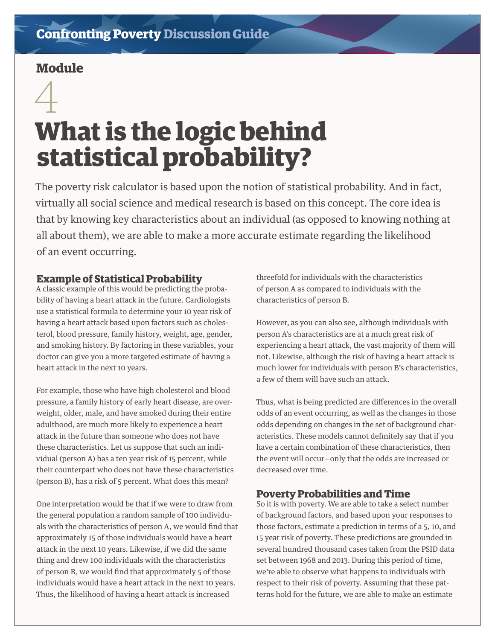

# **What is the logic behind statistical probability?**

The poverty risk calculator is based upon the notion of statistical probability. And in fact, virtually all social science and medical research is based on this concept. The core idea is that by knowing key characteristics about an individual (as opposed to knowing nothing at all about them), we are able to make a more accurate estimate regarding the likelihood of an event occurring.

#### **Example of Statistical Probability**

A classic example of this would be predicting the probability of having a heart attack in the future. Cardiologists use a statistical formula to determine your 10 year risk of having a heart attack based upon factors such as cholesterol, blood pressure, family history, weight, age, gender, and smoking history. By factoring in these variables, your doctor can give you a more targeted estimate of having a heart attack in the next 10 years.

For example, those who have high cholesterol and blood pressure, a family history of early heart disease, are overweight, older, male, and have smoked during their entire adulthood, are much more likely to experience a heart attack in the future than someone who does not have these characteristics. Let us suppose that such an individual (person A) has a ten year risk of 15 percent, while their counterpart who does not have these characteristics (person B), has a risk of 5 percent. What does this mean?

One interpretation would be that if we were to draw from the general population a random sample of 100 individuals with the characteristics of person A, we would find that approximately 15 of those individuals would have a heart attack in the next 10 years. Likewise, if we did the same thing and drew 100 individuals with the characteristics of person B, we would find that approximately 5 of those individuals would have a heart attack in the next 10 years. Thus, the likelihood of having a heart attack is increased

threefold for individuals with the characteristics of person A as compared to individuals with the characteristics of person B.

However, as you can also see, although individuals with person A's characteristics are at a much great risk of experiencing a heart attack, the vast majority of them will not. Likewise, although the risk of having a heart attack is much lower for individuals with person B's characteristics, a few of them will have such an attack.

Thus, what is being predicted are differences in the overall odds of an event occurring, as well as the changes in those odds depending on changes in the set of background characteristics. These models cannot definitely say that if you have a certain combination of these characteristics, then the event will occur—only that the odds are increased or decreased over time.

#### **Poverty Probabilities and Time**

So it is with poverty. We are able to take a select number of background factors, and based upon your responses to those factors, estimate a prediction in terms of a 5, 10, and 15 year risk of poverty. These predictions are grounded in several hundred thousand cases taken from the PSID data set between 1968 and 2013. During this period of time, we're able to observe what happens to individuals with respect to their risk of poverty. Assuming that these patterns hold for the future, we are able to make an estimate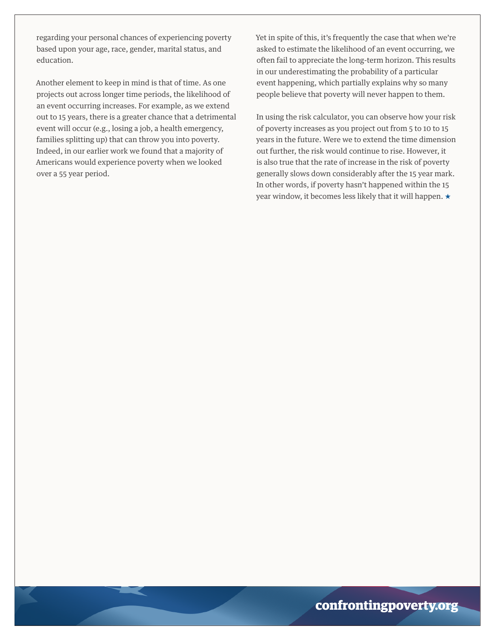regarding your personal chances of experiencing poverty based upon your age, race, gender, marital status, and education.

Another element to keep in mind is that of time. As one projects out across longer time periods, the likelihood of an event occurring increases. For example, as we extend out to 15 years, there is a greater chance that a detrimental event will occur (e.g., losing a job, a health emergency, families splitting up) that can throw you into poverty. Indeed, in our earlier work we found that a majority of Americans would experience poverty when we looked over a 55 year period.

Yet in spite of this, it's frequently the case that when we're asked to estimate the likelihood of an event occurring, we often fail to appreciate the long-term horizon. This results in our underestimating the probability of a particular event happening, which partially explains why so many people believe that poverty will never happen to them.

In using the risk calculator, you can observe how your risk of poverty increases as you project out from 5 to 10 to 15 years in the future. Were we to extend the time dimension out further, the risk would continue to rise. However, it is also true that the rate of increase in the risk of poverty generally slows down considerably after the 15 year mark. In other words, if poverty hasn't happened within the 15 year window, it becomes less likely that it will happen. ★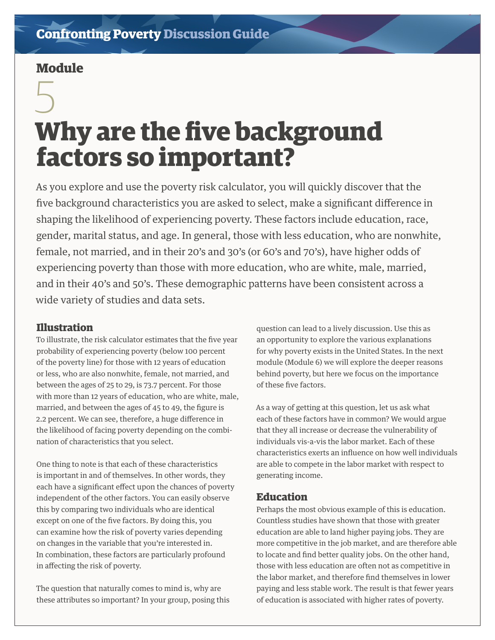# **Why are the five background factors so important?** 5

As you explore and use the poverty risk calculator, you will quickly discover that the five background characteristics you are asked to select, make a significant difference in shaping the likelihood of experiencing poverty. These factors include education, race, gender, marital status, and age. In general, those with less education, who are nonwhite, female, not married, and in their 20's and 30's (or 60's and 70's), have higher odds of experiencing poverty than those with more education, who are white, male, married, and in their 40's and 50's. These demographic patterns have been consistent across a wide variety of studies and data sets.

#### **Illustration**

To illustrate, the risk calculator estimates that the five year probability of experiencing poverty (below 100 percent of the poverty line) for those with 12 years of education or less, who are also nonwhite, female, not married, and between the ages of 25 to 29, is 73.7 percent. For those with more than 12 years of education, who are white, male, married, and between the ages of 45 to 49, the figure is 2.2 percent. We can see, therefore, a huge difference in the likelihood of facing poverty depending on the combination of characteristics that you select.

One thing to note is that each of these characteristics is important in and of themselves. In other words, they each have a significant effect upon the chances of poverty independent of the other factors. You can easily observe this by comparing two individuals who are identical except on one of the five factors. By doing this, you can examine how the risk of poverty varies depending on changes in the variable that you're interested in. In combination, these factors are particularly profound in affecting the risk of poverty.

The question that naturally comes to mind is, why are these attributes so important? In your group, posing this

question can lead to a lively discussion. Use this as an opportunity to explore the various explanations for why poverty exists in the United States. In the next module (Module 6) we will explore the deeper reasons behind poverty, but here we focus on the importance of these five factors.

As a way of getting at this question, let us ask what each of these factors have in common? We would argue that they all increase or decrease the vulnerability of individuals vis-a-vis the labor market. Each of these characteristics exerts an influence on how well individuals are able to compete in the labor market with respect to generating income.

#### **Education**

Perhaps the most obvious example of this is education. Countless studies have shown that those with greater education are able to land higher paying jobs. They are more competitive in the job market, and are therefore able to locate and find better quality jobs. On the other hand, those with less education are often not as competitive in the labor market, and therefore find themselves in lower paying and less stable work. The result is that fewer years of education is associated with higher rates of poverty.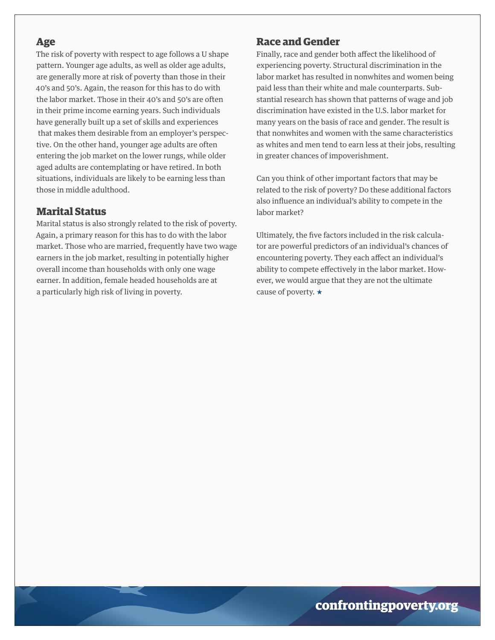#### **Age**

The risk of poverty with respect to age follows a U shape pattern. Younger age adults, as well as older age adults, are generally more at risk of poverty than those in their 40's and 50's. Again, the reason for this has to do with the labor market. Those in their 40's and 50's are often in their prime income earning years. Such individuals have generally built up a set of skills and experiences that makes them desirable from an employer's perspective. On the other hand, younger age adults are often entering the job market on the lower rungs, while older aged adults are contemplating or have retired. In both situations, individuals are likely to be earning less than those in middle adulthood.

#### **Marital Status**

Marital status is also strongly related to the risk of poverty. Again, a primary reason for this has to do with the labor market. Those who are married, frequently have two wage earners in the job market, resulting in potentially higher overall income than households with only one wage earner. In addition, female headed households are at a particularly high risk of living in poverty.

#### **Race and Gender**

Finally, race and gender both affect the likelihood of experiencing poverty. Structural discrimination in the labor market has resulted in nonwhites and women being paid less than their white and male counterparts. Substantial research has shown that patterns of wage and job discrimination have existed in the U.S. labor market for many years on the basis of race and gender. The result is that nonwhites and women with the same characteristics as whites and men tend to earn less at their jobs, resulting in greater chances of impoverishment.

Can you think of other important factors that may be related to the risk of poverty? Do these additional factors also influence an individual's ability to compete in the labor market?

Ultimately, the five factors included in the risk calculator are powerful predictors of an individual's chances of encountering poverty. They each affect an individual's ability to compete effectively in the labor market. However, we would argue that they are not the ultimate cause of poverty. ★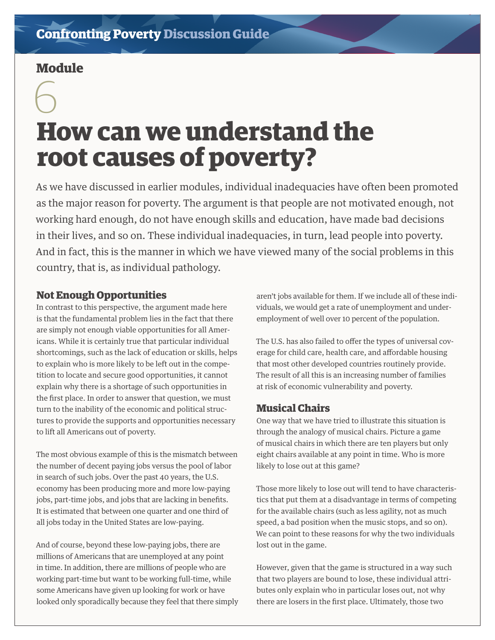# 6

# **How can we understand the root causes of poverty?**

As we have discussed in earlier modules, individual inadequacies have often been promoted as the major reason for poverty. The argument is that people are not motivated enough, not working hard enough, do not have enough skills and education, have made bad decisions in their lives, and so on. These individual inadequacies, in turn, lead people into poverty. And in fact, this is the manner in which we have viewed many of the social problems in this country, that is, as individual pathology.

#### **Not Enough Opportunities**

In contrast to this perspective, the argument made here is that the fundamental problem lies in the fact that there are simply not enough viable opportunities for all Americans. While it is certainly true that particular individual shortcomings, such as the lack of education or skills, helps to explain who is more likely to be left out in the competition to locate and secure good opportunities, it cannot explain why there is a shortage of such opportunities in the first place. In order to answer that question, we must turn to the inability of the economic and political structures to provide the supports and opportunities necessary to lift all Americans out of poverty.

The most obvious example of this is the mismatch between the number of decent paying jobs versus the pool of labor in search of such jobs. Over the past 40 years, the U.S. economy has been producing more and more low-paying jobs, part-time jobs, and jobs that are lacking in benefits. It is estimated that between one quarter and one third of all jobs today in the United States are low-paying.

And of course, beyond these low-paying jobs, there are millions of Americans that are unemployed at any point in time. In addition, there are millions of people who are working part-time but want to be working full-time, while some Americans have given up looking for work or have looked only sporadically because they feel that there simply

aren't jobs available for them. If we include all of these individuals, we would get a rate of unemployment and underemployment of well over 10 percent of the population.

The U.S. has also failed to offer the types of universal coverage for child care, health care, and affordable housing that most other developed countries routinely provide. The result of all this is an increasing number of families at risk of economic vulnerability and poverty.

#### **Musical Chairs**

One way that we have tried to illustrate this situation is through the analogy of musical chairs. Picture a game of musical chairs in which there are ten players but only eight chairs available at any point in time. Who is more likely to lose out at this game?

Those more likely to lose out will tend to have characteristics that put them at a disadvantage in terms of competing for the available chairs (such as less agility, not as much speed, a bad position when the music stops, and so on). We can point to these reasons for why the two individuals lost out in the game.

However, given that the game is structured in a way such that two players are bound to lose, these individual attributes only explain who in particular loses out, not why there are losers in the first place. Ultimately, those two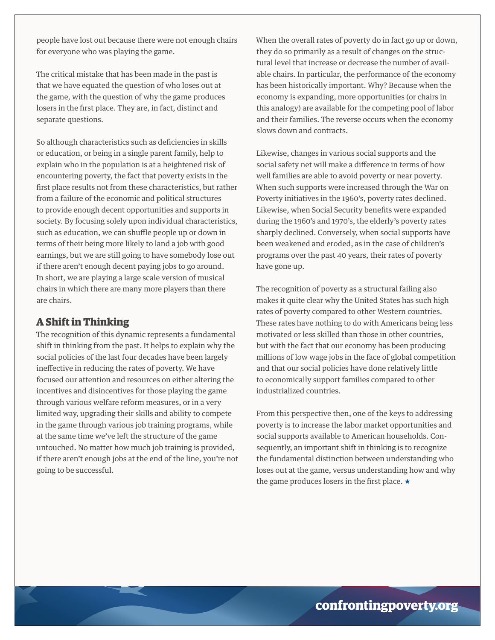people have lost out because there were not enough chairs for everyone who was playing the game.

The critical mistake that has been made in the past is that we have equated the question of who loses out at the game, with the question of why the game produces losers in the first place. They are, in fact, distinct and separate questions.

So although characteristics such as deficiencies in skills or education, or being in a single parent family, help to explain who in the population is at a heightened risk of encountering poverty, the fact that poverty exists in the first place results not from these characteristics, but rather from a failure of the economic and political structures to provide enough decent opportunities and supports in society. By focusing solely upon individual characteristics, such as education, we can shuffle people up or down in terms of their being more likely to land a job with good earnings, but we are still going to have somebody lose out if there aren't enough decent paying jobs to go around. In short, we are playing a large scale version of musical chairs in which there are many more players than there are chairs.

#### **A Shift in Thinking**

The recognition of this dynamic represents a fundamental shift in thinking from the past. It helps to explain why the social policies of the last four decades have been largely ineffective in reducing the rates of poverty. We have focused our attention and resources on either altering the incentives and disincentives for those playing the game through various welfare reform measures, or in a very limited way, upgrading their skills and ability to compete in the game through various job training programs, while at the same time we've left the structure of the game untouched. No matter how much job training is provided, if there aren't enough jobs at the end of the line, you're not going to be successful.

When the overall rates of poverty do in fact go up or down, they do so primarily as a result of changes on the structural level that increase or decrease the number of available chairs. In particular, the performance of the economy has been historically important. Why? Because when the economy is expanding, more opportunities (or chairs in this analogy) are available for the competing pool of labor and their families. The reverse occurs when the economy slows down and contracts.

Likewise, changes in various social supports and the social safety net will make a difference in terms of how well families are able to avoid poverty or near poverty. When such supports were increased through the War on Poverty initiatives in the 1960's, poverty rates declined. Likewise, when Social Security benefits were expanded during the 1960's and 1970's, the elderly's poverty rates sharply declined. Conversely, when social supports have been weakened and eroded, as in the case of children's programs over the past 40 years, their rates of poverty have gone up.

The recognition of poverty as a structural failing also makes it quite clear why the United States has such high rates of poverty compared to other Western countries. These rates have nothing to do with Americans being less motivated or less skilled than those in other countries, but with the fact that our economy has been producing millions of low wage jobs in the face of global competition and that our social policies have done relatively little to economically support families compared to other industrialized countries.

From this perspective then, one of the keys to addressing poverty is to increase the labor market opportunities and social supports available to American households. Consequently, an important shift in thinking is to recognize the fundamental distinction between understanding who loses out at the game, versus understanding how and why the game produces losers in the first place.  $\star$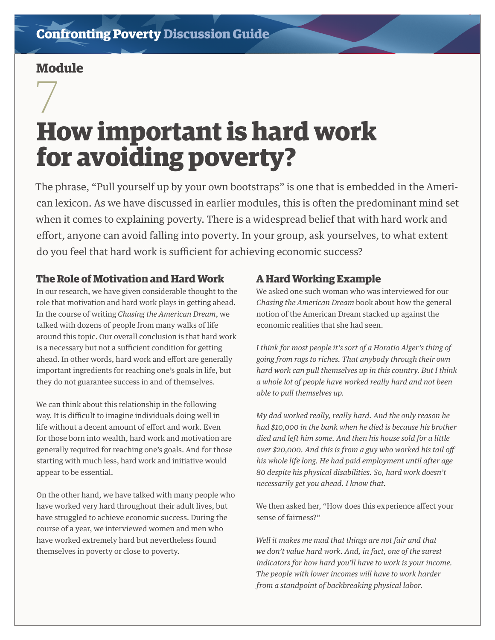# **How important is hard work for avoiding poverty?** 7

The phrase, "Pull yourself up by your own bootstraps" is one that is embedded in the American lexicon. As we have discussed in earlier modules, this is often the predominant mind set when it comes to explaining poverty. There is a widespread belief that with hard work and effort, anyone can avoid falling into poverty. In your group, ask yourselves, to what extent do you feel that hard work is sufficient for achieving economic success?

#### **The Role of Motivation and Hard Work**

In our research, we have given considerable thought to the role that motivation and hard work plays in getting ahead. In the course of writing *Chasing the American Dream*, we talked with dozens of people from many walks of life around this topic. Our overall conclusion is that hard work is a necessary but not a sufficient condition for getting ahead. In other words, hard work and effort are generally important ingredients for reaching one's goals in life, but they do not guarantee success in and of themselves.

We can think about this relationship in the following way. It is difficult to imagine individuals doing well in life without a decent amount of effort and work. Even for those born into wealth, hard work and motivation are generally required for reaching one's goals. And for those starting with much less, hard work and initiative would appear to be essential.

On the other hand, we have talked with many people who have worked very hard throughout their adult lives, but have struggled to achieve economic success. During the course of a year, we interviewed women and men who have worked extremely hard but nevertheless found themselves in poverty or close to poverty.

### **A Hard Working Example**

We asked one such woman who was interviewed for our *Chasing the American Dream* book about how the general notion of the American Dream stacked up against the economic realities that she had seen.

*I think for most people it's sort of a Horatio Alger's thing of going from rags to riches. That anybody through their own hard work can pull themselves up in this country. But I think a whole lot of people have worked really hard and not been able to pull themselves up.*

*My dad worked really, really hard. And the only reason he had \$10,000 in the bank when he died is because his brother died and left him some. And then his house sold for a little over \$20,000. And this is from a guy who worked his tail off his whole life long. He had paid employment until after age 80 despite his physical disabilities. So, hard work doesn't necessarily get you ahead. I know that.*

We then asked her, "How does this experience affect your sense of fairness?"

*Well it makes me mad that things are not fair and that we don't value hard work. And, in fact, one of the surest indicators for how hard you'll have to work is your income. The people with lower incomes will have to work harder from a standpoint of backbreaking physical labor.*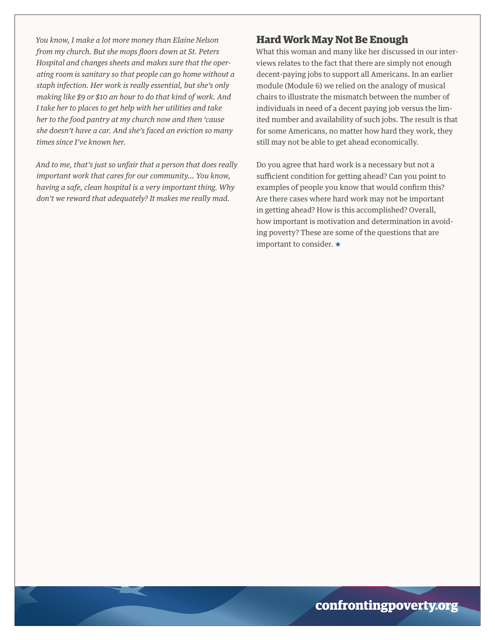*You know, I make a lot more money than Elaine Nelson from my church. But she mops floors down at St. Peters Hospital and changes sheets and makes sure that the operating room is sanitary so that people can go home without a staph infection. Her work is really essential, but she's only making like \$9 or \$10 an hour to do that kind of work. And I take her to places to get help with her utilities and take her to the food pantry at my church now and then 'cause she doesn't have a car. And she's faced an eviction so many times since I've known her.*

*And to me, that's just so unfair that a person that does really important work that cares for our community… You know, having a safe, clean hospital is a very important thing. Why don't we reward that adequately? It makes me really mad.*

#### **Hard Work May Not Be Enough**

What this woman and many like her discussed in our interviews relates to the fact that there are simply not enough decent-paying jobs to support all Americans. In an earlier module (Module 6) we relied on the analogy of musical chairs to illustrate the mismatch between the number of individuals in need of a decent paying job versus the limited number and availability of such jobs. The result is that for some Americans, no matter how hard they work, they still may not be able to get ahead economically.

Do you agree that hard work is a necessary but not a sufficient condition for getting ahead? Can you point to examples of people you know that would confirm this? Are there cases where hard work may not be important in getting ahead? How is this accomplished? Overall, how important is motivation and determination in avoiding poverty? These are some of the questions that are important to consider. ★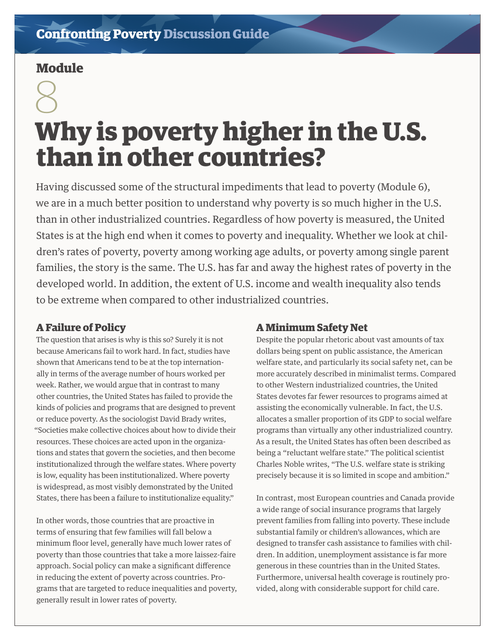8

# **Why is poverty higher in the U.S. than in other countries?**

Having discussed some of the structural impediments that lead to poverty (Module 6), we are in a much better position to understand why poverty is so much higher in the U.S. than in other industrialized countries. Regardless of how poverty is measured, the United States is at the high end when it comes to poverty and inequality. Whether we look at children's rates of poverty, poverty among working age adults, or poverty among single parent families, the story is the same. The U.S. has far and away the highest rates of poverty in the developed world. In addition, the extent of U.S. income and wealth inequality also tends to be extreme when compared to other industrialized countries.

#### **A Failure of Policy**

The question that arises is why is this so? Surely it is not because Americans fail to work hard. In fact, studies have shown that Americans tend to be at the top internationally in terms of the average number of hours worked per week. Rather, we would argue that in contrast to many other countries, the United States has failed to provide the kinds of policies and programs that are designed to prevent or reduce poverty. As the sociologist David Brady writes, "Societies make collective choices about how to divide their resources. These choices are acted upon in the organizations and states that govern the societies, and then become institutionalized through the welfare states. Where poverty is low, equality has been institutionalized. Where poverty is widespread, as most visibly demonstrated by the United States, there has been a failure to institutionalize equality."

In other words, those countries that are proactive in terms of ensuring that few families will fall below a minimum floor level, generally have much lower rates of poverty than those countries that take a more laissez-faire approach. Social policy can make a significant difference in reducing the extent of poverty across countries. Programs that are targeted to reduce inequalities and poverty, generally result in lower rates of poverty.

#### **A Minimum Safety Net**

Despite the popular rhetoric about vast amounts of tax dollars being spent on public assistance, the American welfare state, and particularly its social safety net, can be more accurately described in minimalist terms. Compared to other Western industrialized countries, the United States devotes far fewer resources to programs aimed at assisting the economically vulnerable. In fact, the U.S. allocates a smaller proportion of its GDP to social welfare programs than virtually any other industrialized country. As a result, the United States has often been described as being a "reluctant welfare state." The political scientist Charles Noble writes, "The U.S. welfare state is striking precisely because it is so limited in scope and ambition."

In contrast, most European countries and Canada provide a wide range of social insurance programs that largely prevent families from falling into poverty. These include substantial family or children's allowances, which are designed to transfer cash assistance to families with children. In addition, unemployment assistance is far more generous in these countries than in the United States. Furthermore, universal health coverage is routinely provided, along with considerable support for child care.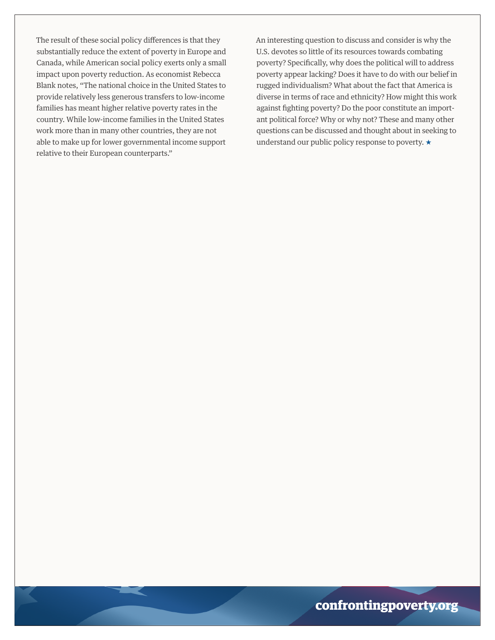The result of these social policy differences is that they substantially reduce the extent of poverty in Europe and Canada, while American social policy exerts only a small impact upon poverty reduction. As economist Rebecca Blank notes, "The national choice in the United States to provide relatively less generous transfers to low-income families has meant higher relative poverty rates in the country. While low-income families in the United States work more than in many other countries, they are not able to make up for lower governmental income support relative to their European counterparts."

An interesting question to discuss and consider is why the U.S. devotes so little of its resources towards combating poverty? Specifically, why does the political will to address poverty appear lacking? Does it have to do with our belief in rugged individualism? What about the fact that America is diverse in terms of race and ethnicity? How might this work against fighting poverty? Do the poor constitute an important political force? Why or why not? These and many other questions can be discussed and thought about in seeking to understand our public policy response to poverty. ★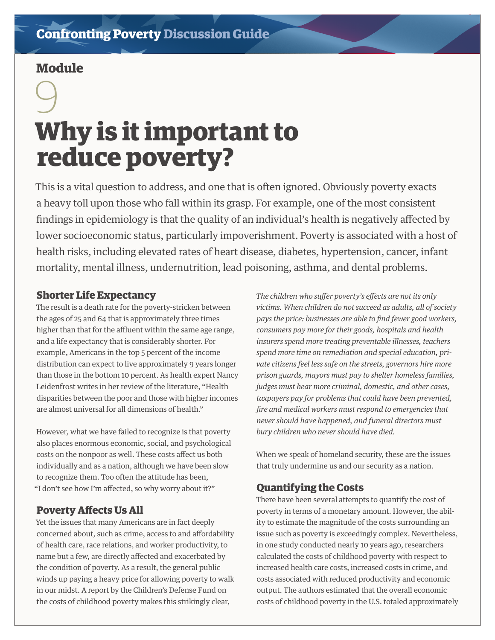# **Why is it important to reduce poverty?** 9

This is a vital question to address, and one that is often ignored. Obviously poverty exacts a heavy toll upon those who fall within its grasp. For example, one of the most consistent findings in epidemiology is that the quality of an individual's health is negatively affected by lower socioeconomic status, particularly impoverishment. Poverty is associated with a host of health risks, including elevated rates of heart disease, diabetes, hypertension, cancer, infant mortality, mental illness, undernutrition, lead poisoning, asthma, and dental problems.

#### **Shorter Life Expectancy**

The result is a death rate for the poverty-stricken between the ages of 25 and 64 that is approximately three times higher than that for the affluent within the same age range, and a life expectancy that is considerably shorter. For example, Americans in the top 5 percent of the income distribution can expect to live approximately 9 years longer than those in the bottom 10 percent. As health expert Nancy Leidenfrost writes in her review of the literature, "Health disparities between the poor and those with higher incomes are almost universal for all dimensions of health."

However, what we have failed to recognize is that poverty also places enormous economic, social, and psychological costs on the nonpoor as well. These costs affect us both individually and as a nation, although we have been slow to recognize them. Too often the attitude has been, "I don't see how I'm affected, so why worry about it?"

#### **Poverty Affects Us All**

Yet the issues that many Americans are in fact deeply concerned about, such as crime, access to and affordability of health care, race relations, and worker productivity, to name but a few, are directly affected and exacerbated by the condition of poverty. As a result, the general public winds up paying a heavy price for allowing poverty to walk in our midst. A report by the Children's Defense Fund on the costs of childhood poverty makes this strikingly clear,

*The children who suffer poverty's effects are not its only victims. When children do not succeed as adults, all of society pays the price: businesses are able to find fewer good workers, consumers pay more for their goods, hospitals and health insurers spend more treating preventable illnesses, teachers spend more time on remediation and special education, private citizens feel less safe on the streets, governors hire more prison guards, mayors must pay to shelter homeless families, judges must hear more criminal, domestic, and other cases, taxpayers pay for problems that could have been prevented, fire and medical workers must respond to emergencies that never should have happened, and funeral directors must bury children who never should have died.*

When we speak of homeland security, these are the issues that truly undermine us and our security as a nation.

#### **Quantifying the Costs**

There have been several attempts to quantify the cost of poverty in terms of a monetary amount. However, the ability to estimate the magnitude of the costs surrounding an issue such as poverty is exceedingly complex. Nevertheless, in one study conducted nearly 10 years ago, researchers calculated the costs of childhood poverty with respect to increased health care costs, increased costs in crime, and costs associated with reduced productivity and economic output. The authors estimated that the overall economic costs of childhood poverty in the U.S. totaled approximately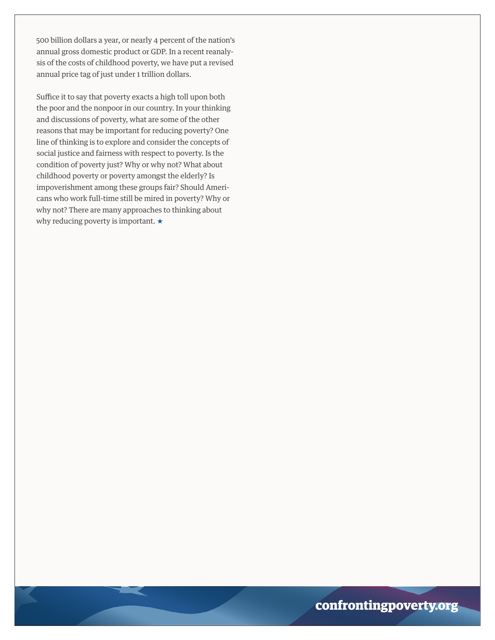500 billion dollars a year, or nearly 4 percent of the nation's annual gross domestic product or GDP. In a recent reanalysis of the costs of childhood poverty, we have put a revised annual price tag of just under 1 trillion dollars.

Suffice it to say that poverty exacts a high toll upon both the poor and the nonpoor in our country. In your thinking and discussions of poverty, what are some of the other reasons that may be important for reducing poverty? One line of thinking is to explore and consider the concepts of social justice and fairness with respect to poverty. Is the condition of poverty just? Why or why not? What about childhood poverty or poverty amongst the elderly? Is impoverishment among these groups fair? Should Americans who work full-time still be mired in poverty? Why or why not? There are many approaches to thinking about why reducing poverty is important. ★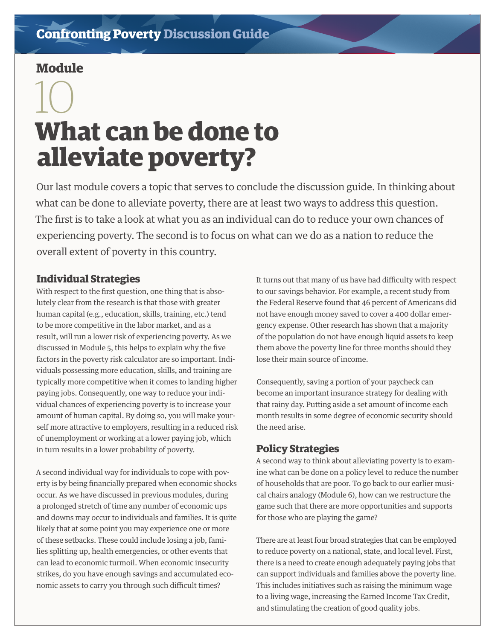# **What can be done to alleviate poverty?** 10

Our last module covers a topic that serves to conclude the discussion guide. In thinking about what can be done to alleviate poverty, there are at least two ways to address this question. The first is to take a look at what you as an individual can do to reduce your own chances of experiencing poverty. The second is to focus on what can we do as a nation to reduce the overall extent of poverty in this country.

### **Individual Strategies**

With respect to the first question, one thing that is absolutely clear from the research is that those with greater human capital (e.g., education, skills, training, etc.) tend to be more competitive in the labor market, and as a result, will run a lower risk of experiencing poverty. As we discussed in Module 5, this helps to explain why the five factors in the poverty risk calculator are so important. Individuals possessing more education, skills, and training are typically more competitive when it comes to landing higher paying jobs. Consequently, one way to reduce your individual chances of experiencing poverty is to increase your amount of human capital. By doing so, you will make yourself more attractive to employers, resulting in a reduced risk of unemployment or working at a lower paying job, which in turn results in a lower probability of poverty.

A second individual way for individuals to cope with poverty is by being financially prepared when economic shocks occur. As we have discussed in previous modules, during a prolonged stretch of time any number of economic ups and downs may occur to individuals and families. It is quite likely that at some point you may experience one or more of these setbacks. These could include losing a job, families splitting up, health emergencies, or other events that can lead to economic turmoil. When economic insecurity strikes, do you have enough savings and accumulated economic assets to carry you through such difficult times?

It turns out that many of us have had difficulty with respect to our savings behavior. For example, a recent study from the Federal Reserve found that 46 percent of Americans did not have enough money saved to cover a 400 dollar emergency expense. Other research has shown that a majority of the population do not have enough liquid assets to keep them above the poverty line for three months should they lose their main source of income.

Consequently, saving a portion of your paycheck can become an important insurance strategy for dealing with that rainy day. Putting aside a set amount of income each month results in some degree of economic security should the need arise.

### **Policy Strategies**

A second way to think about alleviating poverty is to examine what can be done on a policy level to reduce the number of households that are poor. To go back to our earlier musical chairs analogy (Module 6), how can we restructure the game such that there are more opportunities and supports for those who are playing the game?

There are at least four broad strategies that can be employed to reduce poverty on a national, state, and local level. First, there is a need to create enough adequately paying jobs that can support individuals and families above the poverty line. This includes initiatives such as raising the minimum wage to a living wage, increasing the Earned Income Tax Credit, and stimulating the creation of good quality jobs.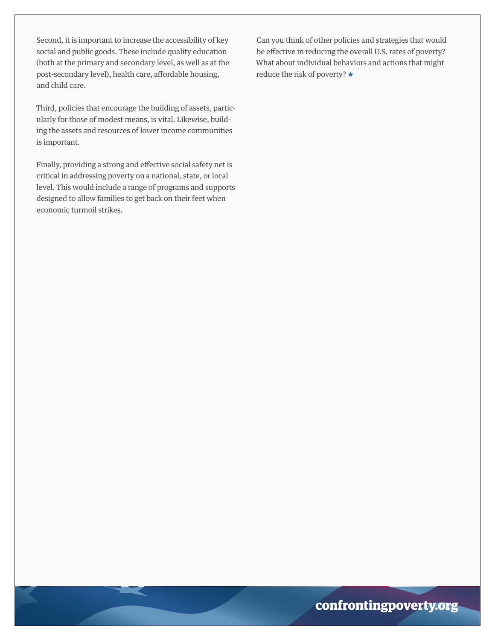Second, it is important to increase the accessibility of key social and public goods. These include quality education (both at the primary and secondary level, as well as at the post-secondary level), health care, affordable housing, and child care.

Third, policies that encourage the building of assets, particularly for those of modest means, is vital. Likewise, building the assets and resources of lower income communities is important.

Finally, providing a strong and effective social safety net is critical in addressing poverty on a national, state, or local level. This would include a range of programs and supports designed to allow families to get back on their feet when economic turmoil strikes.

Can you think of other policies and strategies that would be effective in reducing the overall U.S. rates of poverty? What about individual behaviors and actions that might reduce the risk of poverty? ★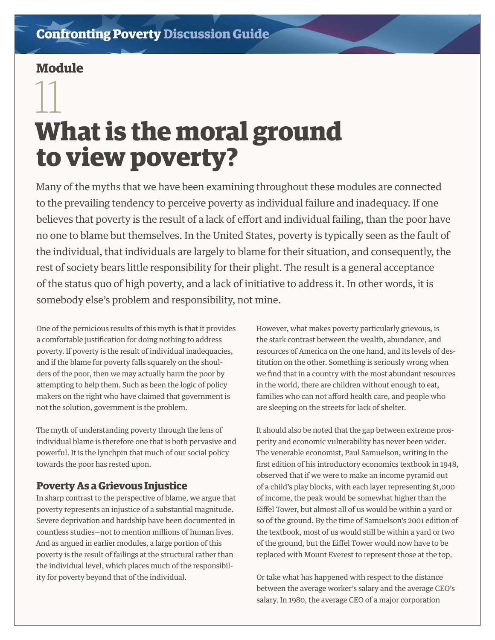# **What is the moral ground to view poverty?** 11

Many of the myths that we have been examining throughout these modules are connected to the prevailing tendency to perceive poverty as individual failure and inadequacy. If one believes that poverty is the result of a lack of effort and individual failing, than the poor have no one to blame but themselves. In the United States, poverty is typically seen as the fault of the individual, that individuals are largely to blame for their situation, and consequently, the rest of society bears little responsibility for their plight. The result is a general acceptance of the status quo of high poverty, and a lack of initiative to address it. In other words, it is somebody else's problem and responsibility, not mine.

One of the pernicious results of this myth is that it provides a comfortable justification for doing nothing to address poverty. If poverty is the result of individual inadequacies, and if the blame for poverty falls squarely on the shoulders of the poor, then we may actually harm the poor by attempting to help them. Such as been the logic of policy makers on the right who have claimed that government is not the solution, government is the problem.

The myth of understanding poverty through the lens of individual blame is therefore one that is both pervasive and powerful. It is the lynchpin that much of our social policy towards the poor has rested upon.

#### **Poverty As a Grievous Injustice**

In sharp contrast to the perspective of blame, we argue that poverty represents an injustice of a substantial magnitude. Severe deprivation and hardship have been documented in countless studies—not to mention millions of human lives. And as argued in earlier modules, a large portion of this poverty is the result of failings at the structural rather than the individual level, which places much of the responsibility for poverty beyond that of the individual.

However, what makes poverty particularly grievous, is the stark contrast between the wealth, abundance, and resources of America on the one hand, and its levels of destitution on the other. Something is seriously wrong when we find that in a country with the most abundant resources in the world, there are children without enough to eat, families who can not afford health care, and people who are sleeping on the streets for lack of shelter.

It should also be noted that the gap between extreme prosperity and economic vulnerability has never been wider. The venerable economist, Paul Samuelson, writing in the first edition of his introductory economics textbook in 1948, observed that if we were to make an income pyramid out of a child's play blocks, with each layer representing \$1,000 of income, the peak would be somewhat higher than the Eiffel Tower, but almost all of us would be within a yard or so of the ground. By the time of Samuelson's 2001 edition of the textbook, most of us would still be within a yard or two of the ground, but the Eiffel Tower would now have to be replaced with Mount Everest to represent those at the top.

Or take what has happened with respect to the distance between the average worker's salary and the average CEO's salary. In 1980, the average CEO of a major corporation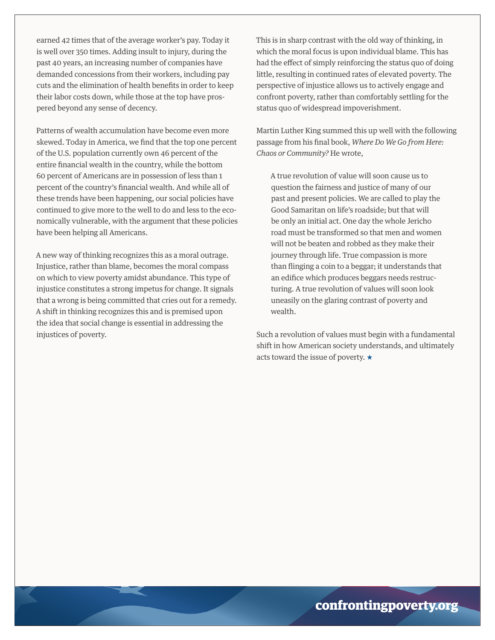earned 42 times that of the average worker's pay. Today it is well over 350 times. Adding insult to injury, during the past 40 years, an increasing number of companies have demanded concessions from their workers, including pay cuts and the elimination of health benefits in order to keep their labor costs down, while those at the top have prospered beyond any sense of decency.

Patterns of wealth accumulation have become even more skewed. Today in America, we find that the top one percent of the U.S. population currently own 46 percent of the entire financial wealth in the country, while the bottom 60 percent of Americans are in possession of less than 1 percent of the country's financial wealth. And while all of these trends have been happening, our social policies have continued to give more to the well to do and less to the economically vulnerable, with the argument that these policies have been helping all Americans.

A new way of thinking recognizes this as a moral outrage. Injustice, rather than blame, becomes the moral compass on which to view poverty amidst abundance. This type of injustice constitutes a strong impetus for change. It signals that a wrong is being committed that cries out for a remedy. A shift in thinking recognizes this and is premised upon the idea that social change is essential in addressing the injustices of poverty.

This is in sharp contrast with the old way of thinking, in which the moral focus is upon individual blame. This has had the effect of simply reinforcing the status quo of doing little, resulting in continued rates of elevated poverty. The perspective of injustice allows us to actively engage and confront poverty, rather than comfortably settling for the status quo of widespread impoverishment.

Martin Luther King summed this up well with the following passage from his final book, *Where Do We Go from Here: Chaos or Community?* He wrote,

A true revolution of value will soon cause us to question the fairness and justice of many of our past and present policies. We are called to play the Good Samaritan on life's roadside; but that will be only an initial act. One day the whole Jericho road must be transformed so that men and women will not be beaten and robbed as they make their journey through life. True compassion is more than flinging a coin to a beggar; it understands that an edifice which produces beggars needs restructuring. A true revolution of values will soon look uneasily on the glaring contrast of poverty and wealth.

Such a revolution of values must begin with a fundamental shift in how American society understands, and ultimately acts toward the issue of poverty. ★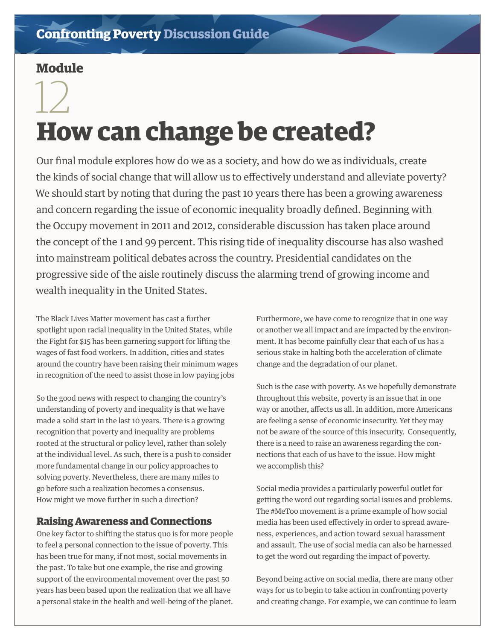# 12

# **How can change be created?**

Our final module explores how do we as a society, and how do we as individuals, create the kinds of social change that will allow us to effectively understand and alleviate poverty? We should start by noting that during the past 10 years there has been a growing awareness and concern regarding the issue of economic inequality broadly defined. Beginning with the Occupy movement in 2011 and 2012, considerable discussion has taken place around the concept of the 1 and 99 percent. This rising tide of inequality discourse has also washed into mainstream political debates across the country. Presidential candidates on the progressive side of the aisle routinely discuss the alarming trend of growing income and wealth inequality in the United States.

The Black Lives Matter movement has cast a further spotlight upon racial inequality in the United States, while the Fight for \$15 has been garnering support for lifting the wages of fast food workers. In addition, cities and states around the country have been raising their minimum wages in recognition of the need to assist those in low paying jobs

So the good news with respect to changing the country's understanding of poverty and inequality is that we have made a solid start in the last 10 years. There is a growing recognition that poverty and inequality are problems rooted at the structural or policy level, rather than solely at the individual level. As such, there is a push to consider more fundamental change in our policy approaches to solving poverty. Nevertheless, there are many miles to go before such a realization becomes a consensus. How might we move further in such a direction?

#### **Raising Awareness and Connections**

One key factor to shifting the status quo is for more people to feel a personal connection to the issue of poverty. This has been true for many, if not most, social movements in the past. To take but one example, the rise and growing support of the environmental movement over the past 50 years has been based upon the realization that we all have a personal stake in the health and well-being of the planet.

Furthermore, we have come to recognize that in one way or another we all impact and are impacted by the environment. It has become painfully clear that each of us has a serious stake in halting both the acceleration of climate change and the degradation of our planet.

Such is the case with poverty. As we hopefully demonstrate throughout this website, poverty is an issue that in one way or another, affects us all. In addition, more Americans are feeling a sense of economic insecurity. Yet they may not be aware of the source of this insecurity. Consequently, there is a need to raise an awareness regarding the connections that each of us have to the issue. How might we accomplish this?

Social media provides a particularly powerful outlet for getting the word out regarding social issues and problems. The #MeToo movement is a prime example of how social media has been used effectively in order to spread awareness, experiences, and action toward sexual harassment and assault. The use of social media can also be harnessed to get the word out regarding the impact of poverty.

Beyond being active on social media, there are many other ways for us to begin to take action in confronting poverty and creating change. For example, we can continue to learn